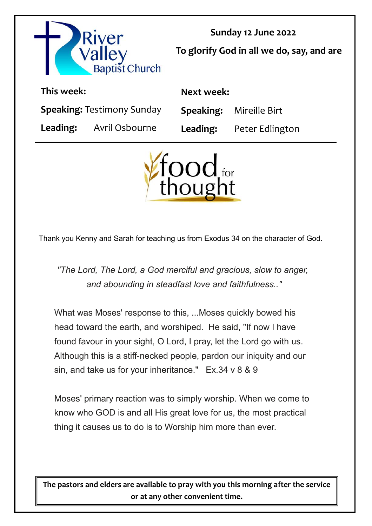

**Sunday 12 June 2022 To glorify God in all we do, say, and are** 

| This week:                        |                                | Next week: |                                 |
|-----------------------------------|--------------------------------|------------|---------------------------------|
| <b>Speaking: Testimony Sunday</b> |                                |            | <b>Speaking:</b> Mireille Birt  |
|                                   | <b>Leading:</b> Avril Osbourne |            | <b>Leading:</b> Peter Edlington |



Thank you Kenny and Sarah for teaching us from Exodus 34 on the character of God.

*"The Lord, The Lord, a God merciful and gracious, slow to anger, and abounding in steadfast love and faithfulness.."*

What was Moses' response to this, ...Moses quickly bowed his head toward the earth, and worshiped. He said, "If now I have found favour in your sight, O Lord, I pray, let the Lord go with us. Although this is a stiff-necked people, pardon our iniquity and our sin, and take us for your inheritance." Ex.34 v 8 & 9

Moses' primary reaction was to simply worship. When we come to know who GOD is and all His great love for us, the most practical thing it causes us to do is to Worship him more than ever.

**The pastors and elders are available to pray with you this morning after the service or at any other convenient time.**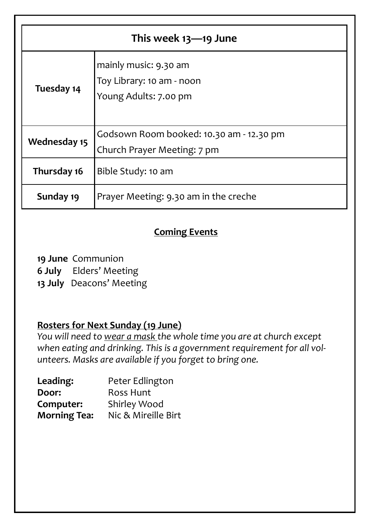| This week 13-19 June |                                                                             |  |  |
|----------------------|-----------------------------------------------------------------------------|--|--|
| Tuesday 14           | mainly music: 9.30 am<br>Toy Library: 10 am - noon<br>Young Adults: 7.00 pm |  |  |
| <b>Wednesday 15</b>  | Godsown Room booked: 10.30 am - 12.30 pm<br>Church Prayer Meeting: 7 pm     |  |  |
| Thursday 16          | Bible Study: 10 am                                                          |  |  |
| Sunday 19            | Prayer Meeting: 9.30 am in the creche                                       |  |  |

# **Coming Events**

**19 June** Communion **6 July** Elders' Meeting **13 July** Deacons' Meeting

## **Rosters for Next Sunday (19 June)**

*You will need to wear a mask the whole time you are at church except when eating and drinking. This is a government requirement for all volunteers. Masks are available if you forget to bring one.*

| Leading:            | Peter Edlington     |
|---------------------|---------------------|
| Door:               | <b>Ross Hunt</b>    |
| Computer:           | <b>Shirley Wood</b> |
| <b>Morning Tea:</b> | Nic & Mireille Birt |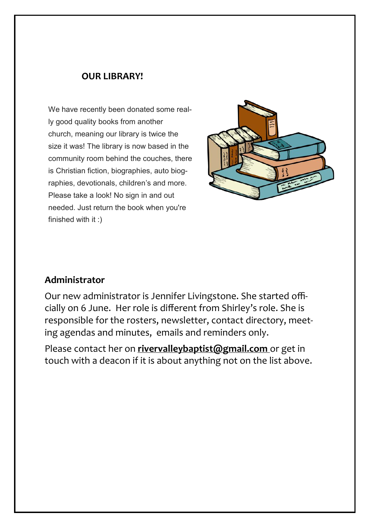### **OUR LIBRARY!**

We have recently been donated some really good quality books from another church, meaning our library is twice the size it was! The library is now based in the community room behind the couches, there is Christian fiction, biographies, auto biographies, devotionals, children's and more. Please take a look! No sign in and out needed. Just return the book when you're finished with it :)



## **Administrator**

Our new administrator is Jennifer Livingstone. She started officially on 6 June. Her role is different from Shirley's role. She is responsible for the rosters, newsletter, contact directory, meeting agendas and minutes, emails and reminders only.

Please contact her on **rivervalleybaptist@gmail.com** or get in touch with a deacon if it is about anything not on the list above.